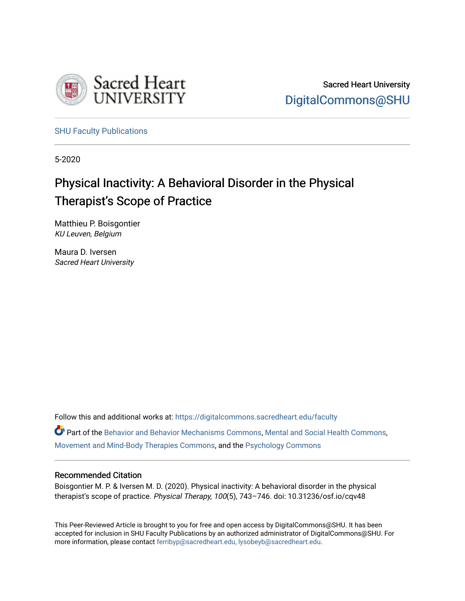

Sacred Heart University [DigitalCommons@SHU](https://digitalcommons.sacredheart.edu/) 

[SHU Faculty Publications](https://digitalcommons.sacredheart.edu/faculty) 

5-2020

# Physical Inactivity: A Behavioral Disorder in the Physical Therapist's Scope of Practice

Matthieu P. Boisgontier KU Leuven, Belgium

Maura D. Iversen Sacred Heart University

Follow this and additional works at: [https://digitalcommons.sacredheart.edu/faculty](https://digitalcommons.sacredheart.edu/faculty?utm_source=digitalcommons.sacredheart.edu%2Ffaculty%2F45&utm_medium=PDF&utm_campaign=PDFCoverPages)

Part of the [Behavior and Behavior Mechanisms Commons,](http://network.bepress.com/hgg/discipline/963?utm_source=digitalcommons.sacredheart.edu%2Ffaculty%2F45&utm_medium=PDF&utm_campaign=PDFCoverPages) [Mental and Social Health Commons,](http://network.bepress.com/hgg/discipline/709?utm_source=digitalcommons.sacredheart.edu%2Ffaculty%2F45&utm_medium=PDF&utm_campaign=PDFCoverPages) [Movement and Mind-Body Therapies Commons](http://network.bepress.com/hgg/discipline/751?utm_source=digitalcommons.sacredheart.edu%2Ffaculty%2F45&utm_medium=PDF&utm_campaign=PDFCoverPages), and the [Psychology Commons](http://network.bepress.com/hgg/discipline/404?utm_source=digitalcommons.sacredheart.edu%2Ffaculty%2F45&utm_medium=PDF&utm_campaign=PDFCoverPages) 

#### Recommended Citation

Boisgontier M. P. & Iversen M. D. (2020). Physical inactivity: A behavioral disorder in the physical therapist's scope of practice. Physical Therapy, 100(5), 743-746. doi: 10.31236/osf.io/cqv48

This Peer-Reviewed Article is brought to you for free and open access by DigitalCommons@SHU. It has been accepted for inclusion in SHU Faculty Publications by an authorized administrator of DigitalCommons@SHU. For more information, please contact [ferribyp@sacredheart.edu, lysobeyb@sacredheart.edu](mailto:ferribyp@sacredheart.edu,%20lysobeyb@sacredheart.edu).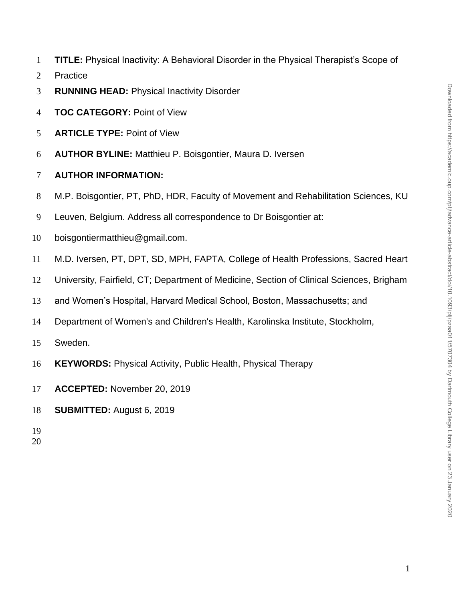- **TITLE:** Physical Inactivity: A Behavioral Disorder in the Physical Therapist's Scope of
- Practice
- **RUNNING HEAD:** Physical Inactivity Disorder
- **TOC CATEGORY:** Point of View
- **ARTICLE TYPE:** Point of View
- **AUTHOR BYLINE:** Matthieu P. Boisgontier, Maura D. Iversen
- **AUTHOR INFORMATION:**
- M.P. Boisgontier, PT, PhD, HDR, Faculty of Movement and Rehabilitation Sciences, KU
- Leuven, Belgium. Address all correspondence to Dr Boisgontier at:
- boisgontiermatthieu@gmail.com.
- M.D. Iversen, PT, DPT, SD, MPH, FAPTA, College of Health Professions, Sacred Heart
- University, Fairfield, CT; Department of Medicine, Section of Clinical Sciences, Brigham
- and Women's Hospital, Harvard Medical School, Boston, Massachusetts; and
- Department of Women's and Children's Health, Karolinska Institute, Stockholm,
- Sweden.
- **KEYWORDS:** Physical Activity, Public Health, Physical Therapy
- **ACCEPTED:** November 20, 2019
- **SUBMITTED:** August 6, 2019
- 
-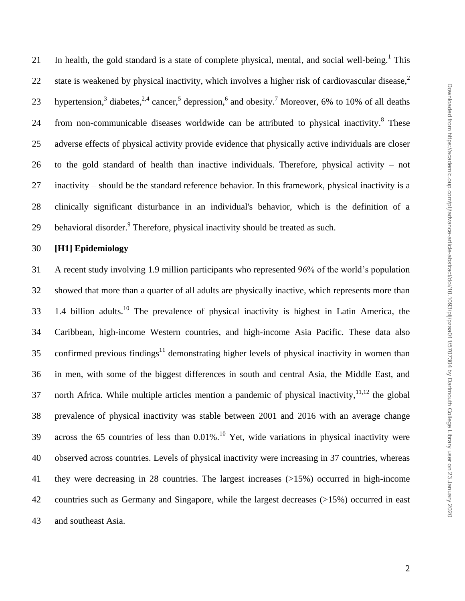21 In health, the gold standard is a state of complete physical, mental, and social well-being.<sup>1</sup> This state is weakened by physical inactivity, which involves a higher risk of cardiovascular disease,<sup>2</sup> 23 hypertension,<sup>3</sup> diabetes,<sup>2,4</sup> cancer,<sup>5</sup> depression,<sup>6</sup> and obesity.<sup>7</sup> Moreover, 6% to 10% of all deaths 24 from non-communicable diseases worldwide can be attributed to physical inactivity. These adverse effects of physical activity provide evidence that physically active individuals are closer to the gold standard of health than inactive individuals. Therefore, physical activity – not inactivity – should be the standard reference behavior. In this framework, physical inactivity is a clinically significant disturbance in an individual's behavior, which is the definition of a 29 behavioral disorder.<sup>9</sup> Therefore, physical inactivity should be treated as such.

## **[H1] Epidemiology**

 A recent study involving 1.9 million participants who represented 96% of the world's population showed that more than a quarter of all adults are physically inactive, which represents more than  $1.4$  billion adults.<sup>10</sup> The prevalence of physical inactivity is highest in Latin America, the Caribbean, high-income Western countries, and high-income Asia Pacific. These data also 35 confirmed previous findings<sup>11</sup> demonstrating higher levels of physical inactivity in women than in men, with some of the biggest differences in south and central Asia, the Middle East, and 37 north Africa. While multiple articles mention a pandemic of physical inactivity,  $11,12$  the global prevalence of physical inactivity was stable between 2001 and 2016 with an average change 39 across the 65 countries of less than  $0.01\%$ .<sup>10</sup> Yet, wide variations in physical inactivity were observed across countries. Levels of physical inactivity were increasing in 37 countries, whereas they were decreasing in 28 countries. The largest increases (>15%) occurred in high-income countries such as Germany and Singapore, while the largest decreases (>15%) occurred in east and southeast Asia.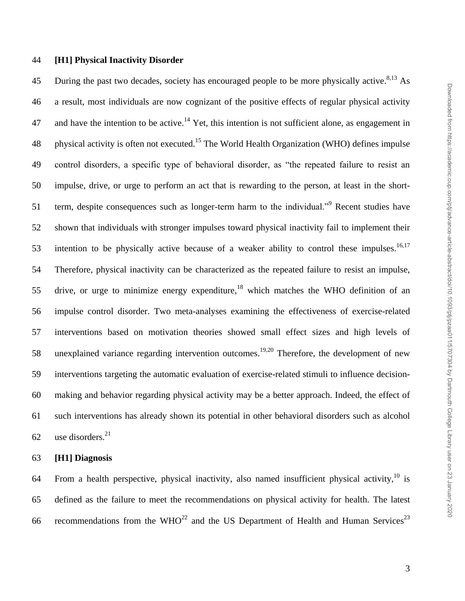#### **[H1] Physical Inactivity Disorder**

45 During the past two decades, society has encouraged people to be more physically active.<sup>8,13</sup> As a result, most individuals are now cognizant of the positive effects of regular physical activity 47 and have the intention to be active.<sup>14</sup> Yet, this intention is not sufficient alone, as engagement in 48 physical activity is often not executed.<sup>15</sup> The World Health Organization (WHO) defines impulse control disorders, a specific type of behavioral disorder, as "the repeated failure to resist an impulse, drive, or urge to perform an act that is rewarding to the person, at least in the short-51 term, despite consequences such as longer-term harm to the individual."<sup>9</sup> Recent studies have shown that individuals with stronger impulses toward physical inactivity fail to implement their intention to be physically active because of a weaker ability to control these impulses.<sup>16,17</sup> Therefore, physical inactivity can be characterized as the repeated failure to resist an impulse, 55 drive, or urge to minimize energy expenditure, which matches the WHO definition of an impulse control disorder. Two meta-analyses examining the effectiveness of exercise-related interventions based on motivation theories showed small effect sizes and high levels of 58 unexplained variance regarding intervention outcomes.<sup>19,20</sup> Therefore, the development of new interventions targeting the automatic evaluation of exercise-related stimuli to influence decision- making and behavior regarding physical activity may be a better approach. Indeed, the effect of such interventions has already shown its potential in other behavioral disorders such as alcohol use disorders.<sup>21</sup>

## **[H1] Diagnosis**

64 From a health perspective, physical inactivity, also named insufficient physical activity, is defined as the failure to meet the recommendations on physical activity for health. The latest 66 recommendations from the WHO<sup>22</sup> and the US Department of Health and Human Services<sup>23</sup>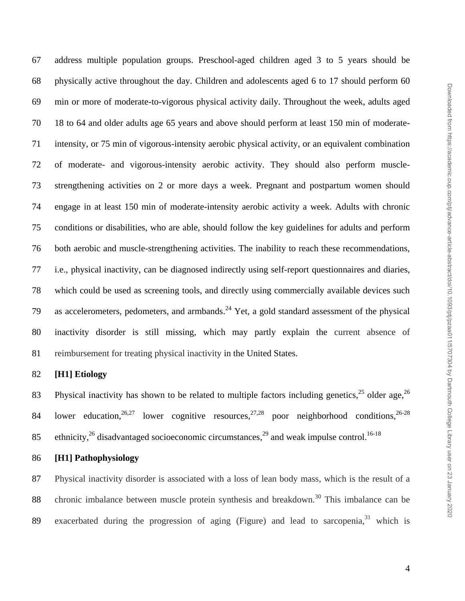address multiple population groups. Preschool-aged children aged 3 to 5 years should be physically active throughout the day. Children and adolescents aged 6 to 17 should perform 60 min or more of moderate-to-vigorous physical activity daily. Throughout the week, adults aged 18 to 64 and older adults age 65 years and above should perform at least 150 min of moderate- intensity, or 75 min of vigorous-intensity aerobic physical activity, or an equivalent combination of moderate- and vigorous-intensity aerobic activity. They should also perform muscle- strengthening activities on 2 or more days a week. Pregnant and postpartum women should engage in at least 150 min of moderate-intensity aerobic activity a week. Adults with chronic conditions or disabilities, who are able, should follow the key guidelines for adults and perform both aerobic and muscle-strengthening activities. The inability to reach these recommendations, i.e., physical inactivity, can be diagnosed indirectly using self-report questionnaires and diaries, which could be used as screening tools, and directly using commercially available devices such 79 as accelerometers, pedometers, and armbands.<sup>24</sup> Yet, a gold standard assessment of the physical inactivity disorder is still missing, which may partly explain the current absence of reimbursement for treating physical inactivity in the United States.

# **[H1] Etiology**

83 Physical inactivity has shown to be related to multiple factors including genetics, older age,  $26$ 84 lower education,  $26,27$  lower cognitive resources,  $27,28$  poor neighborhood conditions,  $26-28$ 85 ethnicity,  $^{26}$  disadvantaged socioeconomic circumstances,  $^{29}$  and weak impulse control.<sup>16-18</sup>

## **[H1] Pathophysiology**

 Physical inactivity disorder is associated with a loss of lean body mass, which is the result of a 88 chronic imbalance between muscle protein synthesis and breakdown.<sup>30</sup> This imbalance can be 89 exacerbated during the progression of aging (Figure) and lead to sarcopenia, <sup>31</sup> which is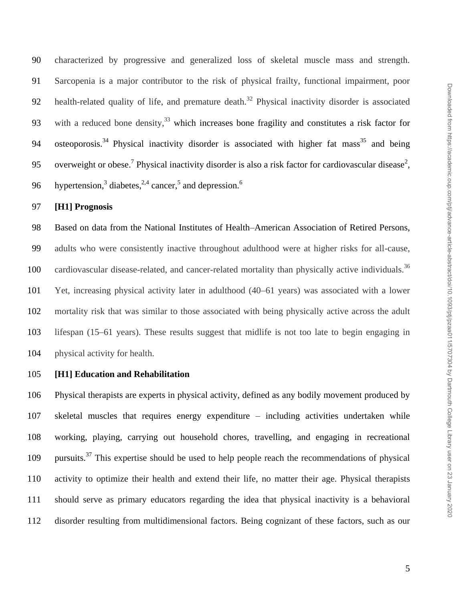characterized by progressive and generalized loss of skeletal muscle mass and strength. Sarcopenia is a major contributor to the risk of physical frailty, functional impairment, poor 92 health-related quality of life, and premature death.<sup>32</sup> Physical inactivity disorder is associated 93 with a reduced bone density,<sup>33</sup> which increases bone fragility and constitutes a risk factor for 94 osteoporosis.<sup>34</sup> Physical inactivity disorder is associated with higher fat mass<sup>35</sup> and being 95 overweight or obese.<sup>7</sup> Physical inactivity disorder is also a risk factor for cardiovascular disease<sup>2</sup>, hypertension,<sup>3</sup> diabetes,<sup>2,4</sup> cancer,<sup>5</sup> and depression.<sup>6</sup> 

#### **[H1] Prognosis**

 Based on data from the National Institutes of Health–American Association of Retired Persons, adults who were consistently inactive throughout adulthood were at higher risks for all-cause, cardiovascular disease-related, and cancer-related mortality than physically active individuals.<sup>36</sup> Yet, increasing physical activity later in adulthood (40–61 years) was associated with a lower mortality risk that was similar to those associated with being physically active across the adult lifespan (15–61 years). These results suggest that midlife is not too late to begin engaging in physical activity for health.

#### **[H1] Education and Rehabilitation**

 Physical therapists are experts in physical activity, defined as any bodily movement produced by skeletal muscles that requires energy expenditure – including activities undertaken while working, playing, carrying out household chores, travelling, and engaging in recreational 109 pursuits.<sup>37</sup> This expertise should be used to help people reach the recommendations of physical activity to optimize their health and extend their life, no matter their age. Physical therapists should serve as primary educators regarding the idea that physical inactivity is a behavioral disorder resulting from multidimensional factors. Being cognizant of these factors, such as our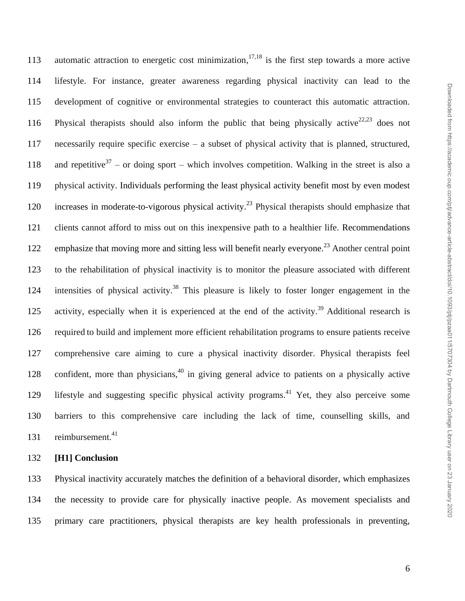113 automatic attraction to energetic cost minimization,  $17,18$  is the first step towards a more active lifestyle. For instance, greater awareness regarding physical inactivity can lead to the development of cognitive or environmental strategies to counteract this automatic attraction. 116 Physical therapists should also inform the public that being physically active<sup>22,23</sup> does not necessarily require specific exercise – a subset of physical activity that is planned, structured, 118 and repetitive<sup>37</sup> – or doing sport – which involves competition. Walking in the street is also a physical activity. Individuals performing the least physical activity benefit most by even modest 120 increases in moderate-to-vigorous physical activity.<sup>23</sup> Physical therapists should emphasize that clients cannot afford to miss out on this inexpensive path to a healthier life. Recommendations 122 emphasize that moving more and sitting less will benefit nearly everyone.<sup>23</sup> Another central point to the rehabilitation of physical inactivity is to monitor the pleasure associated with different 124 intensities of physical activity.<sup>38</sup> This pleasure is likely to foster longer engagement in the 125 activity, especially when it is experienced at the end of the activity.<sup>39</sup> Additional research is required to build and implement more efficient rehabilitation programs to ensure patients receive comprehensive care aiming to cure a physical inactivity disorder. Physical therapists feel 128 confident, more than physicians, in giving general advice to patients on a physically active 129 lifestyle and suggesting specific physical activity programs.<sup>41</sup> Yet, they also perceive some barriers to this comprehensive care including the lack of time, counselling skills, and reimbursement.

# **[H1] Conclusion**

 Physical inactivity accurately matches the definition of a behavioral disorder, which emphasizes the necessity to provide care for physically inactive people. As movement specialists and primary care practitioners, physical therapists are key health professionals in preventing,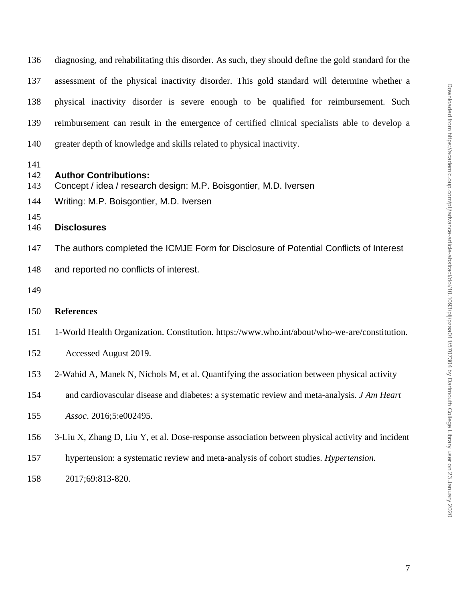| 136 | diagnosing, and rehabilitating this disorder. As such, they should define the gold standard for the |
|-----|-----------------------------------------------------------------------------------------------------|
| 137 | assessment of the physical inactivity disorder. This gold standard will determine whether a         |
| 138 | physical inactivity disorder is severe enough to be qualified for reimbursement. Such               |
| 139 | reimbursement can result in the emergence of certified clinical specialists able to develop a       |
| 140 | greater depth of knowledge and skills related to physical inactivity.                               |

# **Author Contributions:**

- Concept / idea / research design: M.P. Boisgontier, M.D. Iversen
- Writing: M.P. Boisgontier, M.D. Iversen

# **Disclosures**

- The authors completed the ICMJE Form for Disclosure of Potential Conflicts of Interest
- and reported no conflicts of interest.
- 

# **References**

- 1-World Health Organization. Constitution. https://www.who.int/about/who-we-are/constitution.
- Accessed August 2019.
- 2-Wahid A, Manek N, Nichols M, et al. Quantifying the association between physical activity
- and cardiovascular disease and diabetes: a systematic review and meta-analysis. *J Am Heart*
- *Assoc*. 2016;5:e002495.
- 3-Liu X, Zhang D, Liu Y, et al. Dose-response association between physical activity and incident
- hypertension: a systematic review and meta-analysis of cohort studies. *Hypertension.*
- 2017;69:813-820.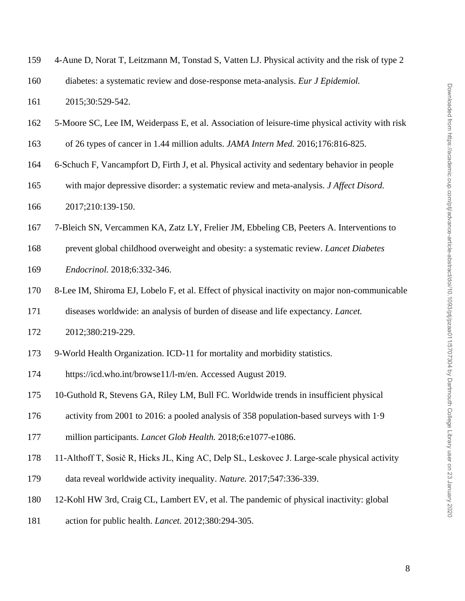| 159 | 4-Aune D, Norat T, Leitzmann M, Tonstad S, Vatten LJ. Physical activity and the risk of type 2 |
|-----|------------------------------------------------------------------------------------------------|
|     |                                                                                                |

diabetes: a systematic review and dose-response meta-analysis. *Eur J Epidemiol.*

2015;30:529-542.

- 5-Moore SC, Lee IM, Weiderpass E, et al. Association of leisure-time physical activity with risk
- of 26 types of cancer in 1.44 million adults. *JAMA Intern Med.* 2016;176:816-825.
- 6-Schuch F, Vancampfort D, Firth J, et al. Physical activity and sedentary behavior in people
- with major depressive disorder: a systematic review and meta-analysis. *J Affect Disord.*
- 2017;210:139-150.
- 7-Bleich SN, Vercammen KA, Zatz LY, Frelier JM, Ebbeling CB, Peeters A. Interventions to
- prevent global childhood overweight and obesity: a systematic review. *Lancet Diabetes*
- *Endocrinol.* 2018;6:332-346.
- 8-Lee IM, Shiroma EJ, Lobelo F, et al. Effect of physical inactivity on major non-communicable
- diseases worldwide: an analysis of burden of disease and life expectancy. *Lancet.*
- 2012;380:219-229.
- 9-World Health Organization. ICD-11 for mortality and morbidity statistics.
- https://icd.who.int/browse11/l-m/en. Accessed August 2019.
- 10-Guthold R, Stevens GA, Riley LM, Bull FC. Worldwide trends in insufficient physical
- activity from 2001 to 2016: a pooled analysis of 358 population-based surveys with 1·9
- million participants. *Lancet Glob Health.* 2018;6:e1077-e1086.
- 11-Althoff T, Sosič R, Hicks JL, King AC, Delp SL, Leskovec J. Large-scale physical activity
- data reveal worldwide activity inequality. *Nature.* 2017;547:336-339.
- 12-Kohl HW 3rd, Craig CL, Lambert EV, et al. The pandemic of physical inactivity: global
- action for public health. *Lancet.* 2012;380:294-305.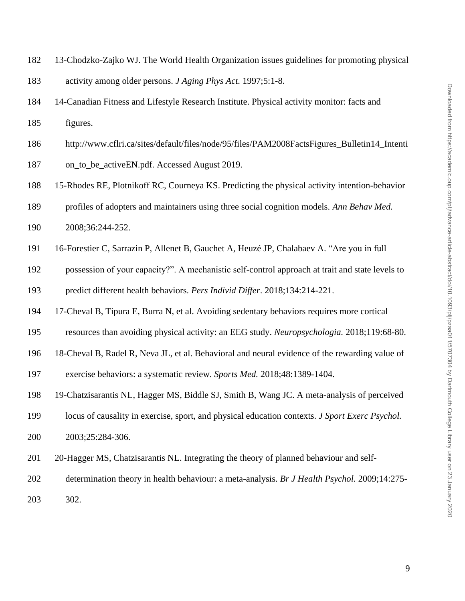- 13-Chodzko-Zajko WJ. The World Health Organization issues guidelines for promoting physical
- activity among older persons. *J Aging Phys Act.* 1997;5:1-8.
- 14-Canadian Fitness and Lifestyle Research Institute. Physical activity monitor: facts and figures.
- http://www.cflri.ca/sites/default/files/node/95/files/PAM2008FactsFigures\_Bulletin14\_Intenti
- on\_to\_be\_activeEN.pdf. Accessed August 2019.
- 15-Rhodes RE, Plotnikoff RC, Courneya KS. Predicting the physical activity intention-behavior
- profiles of adopters and maintainers using three social cognition models. *Ann Behav Med.*
- 2008;36:244-252.
- 16-Forestier C, Sarrazin P, Allenet B, Gauchet A, Heuzé JP, Chalabaev A. "Are you in full
- possession of your capacity?". A mechanistic self-control approach at trait and state levels to predict different health behaviors. *Pers Individ Differ*. 2018;134:214-221.
- 17-Cheval B, Tipura E, Burra N, et al. Avoiding sedentary behaviors requires more cortical
- resources than avoiding physical activity: an EEG study. *Neuropsychologia.* 2018;119:68-80.
- 18-Cheval B, Radel R, Neva JL, et al. Behavioral and neural evidence of the rewarding value of
- exercise behaviors: a systematic review. *Sports Med.* 2018;48:1389-1404.
- 19-Chatzisarantis NL, Hagger MS, Biddle SJ, Smith B, Wang JC. A meta-analysis of perceived
- locus of causality in exercise, sport, and physical education contexts. *J Sport Exerc Psychol.*
- 2003;25:284-306.
- 20-Hagger MS, Chatzisarantis NL. Integrating the theory of planned behaviour and self-
- determination theory in health behaviour: a meta-analysis. *Br J Health Psychol.* 2009;14:275-
- 302.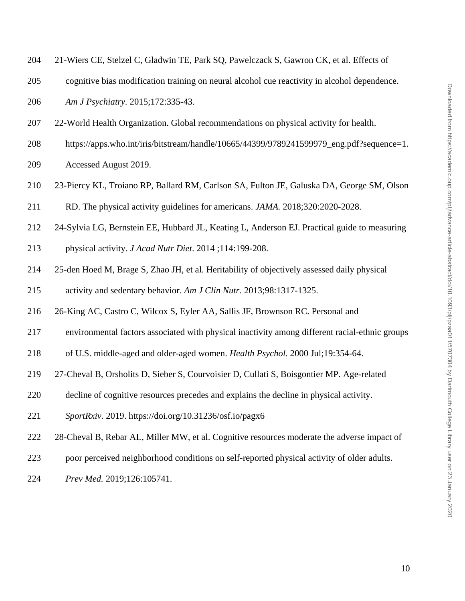- 21-Wiers CE, Stelzel C, Gladwin TE, Park SQ, Pawelczack S, Gawron CK, et al. Effects of
- cognitive bias modification training on neural alcohol cue reactivity in alcohol dependence.
- *Am J Psychiatry.* 2015;172:335-43.
- 22-World Health Organization. Global recommendations on physical activity for health.
- https://apps.who.int/iris/bitstream/handle/10665/44399/9789241599979\_eng.pdf?sequence=1.
- Accessed August 2019.
- 23-Piercy KL, Troiano RP, Ballard RM, Carlson SA, Fulton JE, Galuska DA, George SM, Olson
- RD. The physical activity guidelines for americans. *JAMA.* 2018;320:2020-2028.
- 24-Sylvia LG, Bernstein EE, Hubbard JL, Keating L, Anderson EJ. Practical guide to measuring
- physical activity. *J Acad Nutr Diet*. 2014 ;114:199-208.
- 25-den Hoed M, Brage S, Zhao JH, et al. Heritability of objectively assessed daily physical
- activity and sedentary behavior. *Am J Clin Nutr.* 2013;98:1317-1325.
- 26-King AC, Castro C, Wilcox S, Eyler AA, Sallis JF, Brownson RC. Personal and
- environmental factors associated with physical inactivity among different racial-ethnic groups
- of U.S. middle-aged and older-aged women. *Health Psychol.* 2000 Jul;19:354-64.
- 27-Cheval B, Orsholits D, Sieber S, Courvoisier D, Cullati S, Boisgontier MP. Age-related
- decline of cognitive resources precedes and explains the decline in physical activity.
- *SportRxiv.* 2019. https://doi.org/10.31236/osf.io/pagx6
- 28-Cheval B, Rebar AL, Miller MW, et al. Cognitive resources moderate the adverse impact of
- poor perceived neighborhood conditions on self-reported physical activity of older adults.
- *Prev Med.* 2019;126:105741.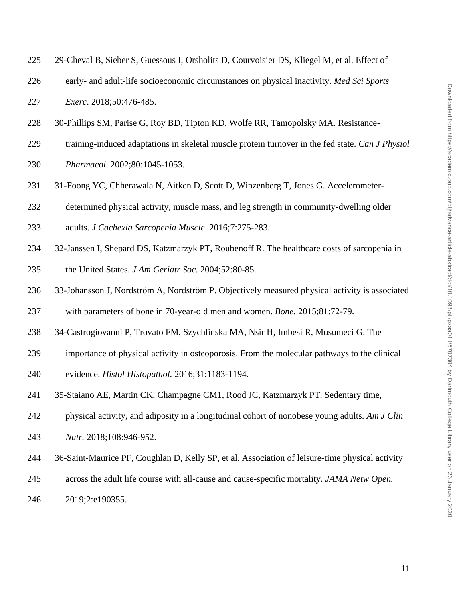| 225<br>29-Cheval B, Sieber S, Guessous I, Orsholits D, Courvoisier DS, Kliegel M, et al. Effect of |  |
|----------------------------------------------------------------------------------------------------|--|
|----------------------------------------------------------------------------------------------------|--|

- early- and adult-life socioeconomic circumstances on physical inactivity. *Med Sci Sports*
- *Exerc*. 2018;50:476-485.
- 30-Phillips SM, Parise G, Roy BD, Tipton KD, Wolfe RR, Tamopolsky MA. Resistance-
- training-induced adaptations in skeletal muscle protein turnover in the fed state. *Can J Physiol*
- *Pharmacol.* 2002;80:1045-1053.
- 31-Foong YC, Chherawala N, Aitken D, Scott D, Winzenberg T, Jones G. Accelerometer-
- determined physical activity, muscle mass, and leg strength in community-dwelling older
- adults. *J Cachexia Sarcopenia Muscle*. 2016;7:275-283.
- 32-Janssen I, Shepard DS, Katzmarzyk PT, Roubenoff R. The healthcare costs of sarcopenia in the United States. *J Am Geriatr Soc.* 2004;52:80-85.
- 33-Johansson J, Nordström A, Nordström P. Objectively measured physical activity is associated
- with parameters of bone in 70-year-old men and women. *Bone.* 2015;81:72-79.
- 34-Castrogiovanni P, Trovato FM, Szychlinska MA, Nsir H, Imbesi R, Musumeci G. The
- importance of physical activity in osteoporosis. From the molecular pathways to the clinical
- evidence. *Histol Histopathol.* 2016;31:1183-1194.
- 35-Staiano AE, Martin CK, Champagne CM1, Rood JC, Katzmarzyk PT. Sedentary time,
- physical activity, and adiposity in a longitudinal cohort of nonobese young adults. *Am J Clin*
- *Nutr.* 2018;108:946-952.
- 36-Saint-Maurice PF, Coughlan D, Kelly SP, et al. Association of leisure-time physical activity
- across the adult life course with all-cause and cause-specific mortality. *JAMA Netw Open.*
- 2019;2:e190355.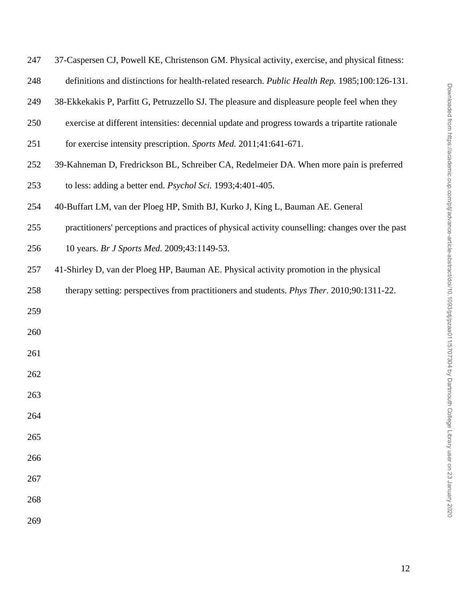| 247 | 37-Caspersen CJ, Powell KE, Christenson GM. Physical activity, exercise, and physical fitness:     |
|-----|----------------------------------------------------------------------------------------------------|
| 248 | definitions and distinctions for health-related research. Public Health Rep. 1985;100:126-131.     |
| 249 | 38-Ekkekakis P, Parfitt G, Petruzzello SJ. The pleasure and displeasure people feel when they      |
| 250 | exercise at different intensities: decennial update and progress towards a tripartite rationale    |
| 251 | for exercise intensity prescription. Sports Med. 2011;41:641-671.                                  |
| 252 | 39-Kahneman D, Fredrickson BL, Schreiber CA, Redelmeier DA. When more pain is preferred            |
| 253 | to less: adding a better end. Psychol Sci. 1993;4:401-405.                                         |
| 254 | 40-Buffart LM, van der Ploeg HP, Smith BJ, Kurko J, King L, Bauman AE. General                     |
| 255 | practitioners' perceptions and practices of physical activity counselling: changes over the past   |
| 256 | 10 years. Br J Sports Med. 2009;43:1149-53.                                                        |
| 257 | 41-Shirley D, van der Ploeg HP, Bauman AE. Physical activity promotion in the physical             |
| 258 | therapy setting: perspectives from practitioners and students. <i>Phys Ther</i> . 2010;90:1311-22. |
| 259 |                                                                                                    |
| 260 |                                                                                                    |
| 261 |                                                                                                    |
| 262 |                                                                                                    |
| 263 |                                                                                                    |
| 264 |                                                                                                    |
| 265 |                                                                                                    |
| 266 |                                                                                                    |
| 267 |                                                                                                    |
| 268 |                                                                                                    |
| 269 |                                                                                                    |
|     |                                                                                                    |